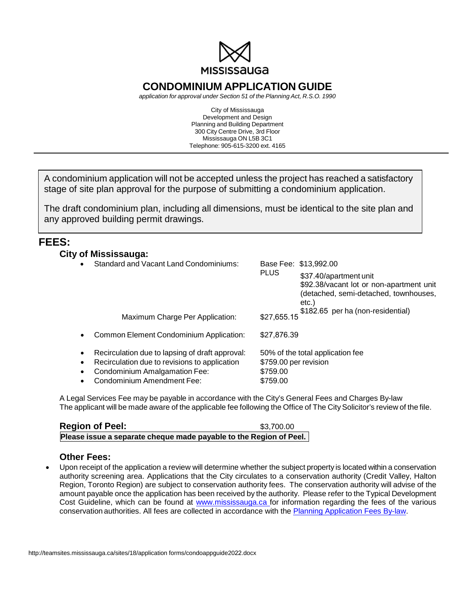

# **CONDOMINIUM APPLICATION GUIDE**

*application for approval under Section 51 of the Planning Act, R.S.O. 1990*

City of Mississauga Development and Design Planning and Building Department 300 City Centre Drive, 3rd Floor Mississauga ON L5B 3C1 Telephone: 905-615-3200 ext. 4165

A condominium application will not be accepted unless the project has reached a satisfactory stage of site plan approval for the purpose of submitting a condominium application.

The draft condominium plan, including all dimensions, must be identical to the site plan and any approved building permit drawings.

## **FEES:**

## **City of Mississauga:**

|                                     | Standard and Vacant Land Condominiums:                                                                                                                          |                                                                                   | Base Fee: \$13,992.00                                                                                                |
|-------------------------------------|-----------------------------------------------------------------------------------------------------------------------------------------------------------------|-----------------------------------------------------------------------------------|----------------------------------------------------------------------------------------------------------------------|
|                                     |                                                                                                                                                                 | <b>PLUS</b>                                                                       | \$37.40/apartment unit<br>\$92.38/vacant lot or non-apartment unit<br>(detached, semi-detached, townhouses,<br>etc.) |
|                                     | Maximum Charge Per Application:                                                                                                                                 | \$27,655.15                                                                       | \$182.65 per ha (non-residential)                                                                                    |
|                                     | Common Element Condominium Application:                                                                                                                         | \$27,876.39                                                                       |                                                                                                                      |
| $\bullet$<br>$\bullet$<br>$\bullet$ | Recirculation due to lapsing of draft approval:<br>Recirculation due to revisions to application<br>Condominium Amalgamation Fee:<br>Condominium Amendment Fee: | 50% of the total application fee<br>\$759.00 per revision<br>\$759.00<br>\$759.00 |                                                                                                                      |

A Legal Services Fee may be payable in accordance with the City's General Fees and Charges By-law The applicant will be made aware of the applicable fee following the Office of The City Solicitor's review of the file.

| <b>Region of Peel:</b>                                             | \$3.700.00 |
|--------------------------------------------------------------------|------------|
| Please issue a separate cheque made payable to the Region of Peel. |            |

#### **Other Fees:**

• Upon receipt of the application a review will determine whether the subject property is located within a conservation authority screening area. Applications that the City circulates to a conservation authority (Credit Valley, Halton Region, Toronto Region) are subject to conservation authority fees. The conservation authority will advise of the amount payable once the application has been received by the authority. Please refer to the Typical Development Cost Guideline, which can be found at [www.mississauga.ca](http://www.mississauga.ca/) for information regarding the fees of the various conservation authorities. All fees are collected in accordance with the [Planning Application Fees By-law.](https://www7.mississauga.ca/documents/committees/other/2019/2019_Planning_Act_Processing_Fees_By-law.pdf)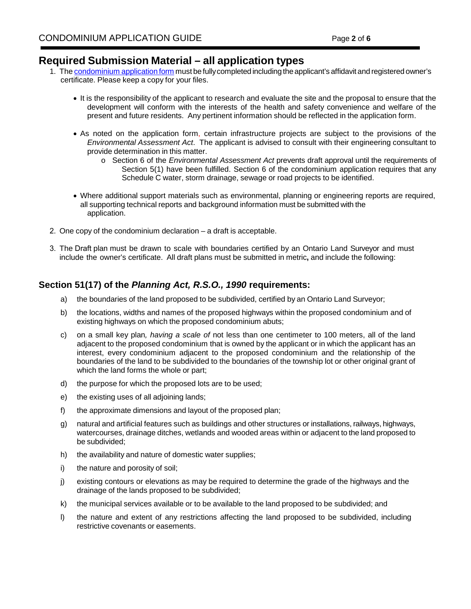## **Required Submission Material – all application types**

- 1. The [condominium](https://www.mississauga.ca/wp-content/uploads/2020/09/07131823/2803-Plan-of-Condominium-Application.pdf) application form must be fully completed including the applicant's affidavit and registered owner's certificate. Please keep a copy for your files.
	- It is the responsibility of the applicant to research and evaluate the site and the proposal to ensure that the development will conform with the interests of the health and safety convenience and welfare of the present and future residents. Any pertinent information should be reflected in the application form.
	- As noted on the application form, certain infrastructure projects are subject to the provisions of the *Environmental Assessment Act*. The applicant is advised to consult with their engineering consultant to provide determination in this matter.
		- o Section 6 of the *Environmental Assessment Act* prevents draft approval until the requirements of Section 5(1) have been fulfilled. Section 6 of the condominium application requires that any Schedule C water, storm drainage, sewage or road projects to be identified.
	- Where additional support materials such as environmental, planning or engineering reports are required, all supporting technical reports and background information must be submitted with the application.
- 2. One copy of the condominium declaration a draft is acceptable.
- 3. The Draft plan must be drawn to scale with boundaries certified by an Ontario Land Surveyor and must include the owner's certificate. All draft plans must be submitted in metric**,** and include the following:

## **Section 51(17) of the** *Planning Act, R.S.O., 1990* **requirements:**

- a) the boundaries of the land proposed to be subdivided, certified by an Ontario Land Surveyor;
- b) the locations, widths and names of the proposed highways within the proposed condominium and of existing highways on which the proposed condominium abuts;
- c) on a small key plan*, having a scale of* not less than one centimeter to 100 meters, all of the land adjacent to the proposed condominium that is owned by the applicant or in which the applicant has an interest, every condominium adjacent to the proposed condominium and the relationship of the boundaries of the land to be subdivided to the boundaries of the township lot or other original grant of which the land forms the whole or part;
- d) the purpose for which the proposed lots are to be used;
- e) the existing uses of all adjoining lands;
- f) the approximate dimensions and layout of the proposed plan;
- g) natural and artificial features such as buildings and other structures or installations, railways, highways, watercourses, drainage ditches, wetlands and wooded areas within or adjacent to the land proposed to be subdivided;
- h) the availability and nature of domestic water supplies;
- i) the nature and porosity of soil;
- j) existing contours or elevations as may be required to determine the grade of the highways and the drainage of the lands proposed to be subdivided;
- k) the municipal services available or to be available to the land proposed to be subdivided; and
- l) the nature and extent of any restrictions affecting the land proposed to be subdivided, including restrictive covenants or easements.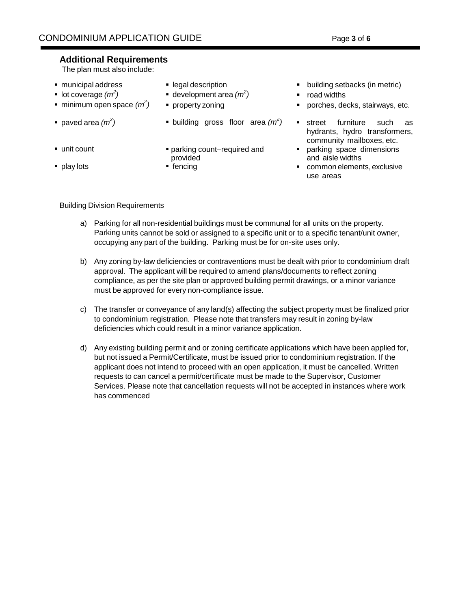### **Additional Requirements**

The plan must also include:

- 
- lot coverage  $(m^2)$
- minimum open space  $(m^2)$
- paved area  $(m^2)$
- 
- 
- 
- **•** development area  $(m^2)$
- 
- **•** building gross floor area  $(m^2)$
- unit count **be a parking count–required and** provided
	-
- **nunicipal address legal description legal description legal description building setbacks (in metric)** 
	- *)* road widths
	- **•** property zoning **property** zoning **property property property property property property property property property property property property property property property property propert** 
		- *)* street furniture such as hydrants, hydro transformers, community mailboxes, etc.
		- **parking space dimensions** and aisle widths
- **play lots fencing fencing common elements, exclusive common elements, exclusive** use areas

#### Building Division Requirements

- a) Parking for all non-residential buildings must be communal for all units on the property. Parking units cannot be sold or assigned to a specific unit or to a specific tenant/unit owner, occupying any part of the building. Parking must be for on-site uses only.
- b) Any zoning by-law deficiencies or contraventions must be dealt with prior to condominium draft approval. The applicant will be required to amend plans/documents to reflect zoning compliance, as per the site plan or approved building permit drawings, or a minor variance must be approved for every non-compliance issue.
- c) The transfer or conveyance of any land(s) affecting the subject property must be finalized prior to condominium registration. Please note that transfers may result in zoning by-law deficiencies which could result in a minor variance application.
- d) Any existing building permit and or zoning certificate applications which have been applied for, but not issued a Permit/Certificate, must be issued prior to condominium registration. If the applicant does not intend to proceed with an open application, it must be cancelled. Written requests to can cancel a permit/certificate must be made to the Supervisor, Customer Services. Please note that cancellation requests will not be accepted in instances where work has commenced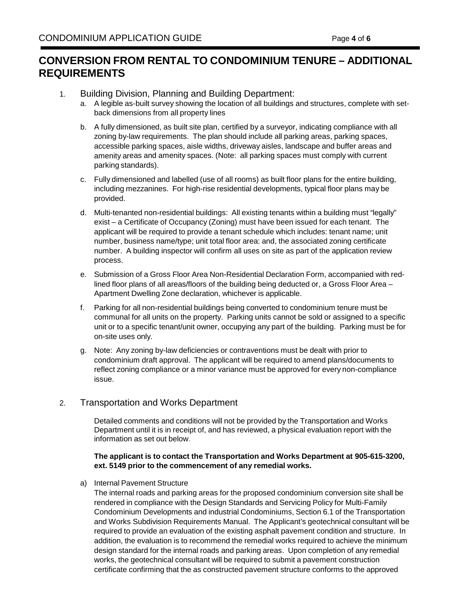# **CONVERSION FROM RENTAL TO CONDOMINIUM TENURE – ADDITIONAL REQUIREMENTS**

- 1. Building Division, Planning and Building Department:
	- a. A legible as-built survey showing the location of all buildings and structures, complete with setback dimensions from all property lines
	- b. A fully dimensioned, as built site plan, certified by a surveyor, indicating compliance with all zoning by-law requirements. The plan should include all parking areas, parking spaces, accessible parking spaces, aisle widths, driveway aisles, landscape and buffer areas and amenity areas and amenity spaces. (Note: all parking spaces must comply with current parking standards).
	- c. Fully dimensioned and labelled (use of all rooms) as built floor plans for the entire building, including mezzanines. For high-rise residential developments, typical floor plans may be provided.
	- d. Multi-tenanted non-residential buildings: All existing tenants within a building must "legally" exist – a Certificate of Occupancy (Zoning) must have been issued for each tenant. The applicant will be required to provide a tenant schedule which includes: tenant name; unit number, business name/type; unit total floor area: and, the associated zoning certificate number. A building inspector will confirm all uses on site as part of the application review process.
	- e. Submission of a Gross Floor Area Non-Residential Declaration Form, accompanied with redlined floor plans of all areas/floors of the building being deducted or, a Gross Floor Area – Apartment Dwelling Zone declaration, whichever is applicable.
	- f. Parking for all non-residential buildings being converted to condominium tenure must be communal for all units on the property. Parking units cannot be sold or assigned to a specific unit or to a specific tenant/unit owner, occupying any part of the building. Parking must be for on-site uses only.
	- g. Note: Any zoning by-law deficiencies or contraventions must be dealt with prior to condominium draft approval. The applicant will be required to amend plans/documents to reflect zoning compliance or a minor variance must be approved for every non-compliance issue.

## 2. Transportation and Works Department

Detailed comments and conditions will not be provided by the Transportation and Works Department until it is in receipt of, and has reviewed, a physical evaluation report with the information as set out below.

#### **The applicant is to contact the Transportation and Works Department at 905-615-3200, ext. 5149 prior to the commencement of any remedial works.**

a) Internal Pavement Structure

The internal roads and parking areas for the proposed condominium conversion site shall be rendered in compliance with the Design Standards and Servicing Policy for Multi-Family Condominium Developments and industrial Condominiums, Section 6.1 of the Transportation and Works Subdivision Requirements Manual. The Applicant's geotechnical consultant will be required to provide an evaluation of the existing asphalt pavement condition and structure. In addition, the evaluation is to recommend the remedial works required to achieve the minimum design standard for the internal roads and parking areas. Upon completion of any remedial works, the geotechnical consultant will be required to submit a pavement construction certificate confirming that the as constructed pavement structure conforms to the approved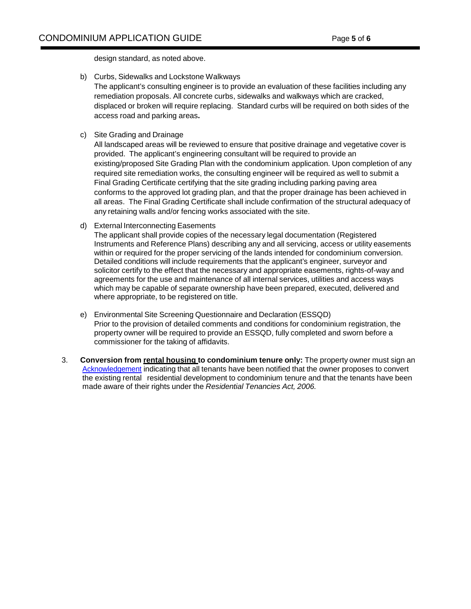design standard, as noted above.

b) Curbs, Sidewalks and Lockstone Walkways

The applicant's consulting engineer is to provide an evaluation of these facilities including any remediation proposals. All concrete curbs, sidewalks and walkways which are cracked, displaced or broken will require replacing. Standard curbs will be required on both sides of the access road and parking areas**.**

c) Site Grading and Drainage

All landscaped areas will be reviewed to ensure that positive drainage and vegetative cover is provided. The applicant's engineering consultant will be required to provide an existing/proposed Site Grading Plan with the condominium application. Upon completion of any required site remediation works, the consulting engineer will be required as well to submit a Final Grading Certificate certifying that the site grading including parking paving area conforms to the approved lot grading plan, and that the proper drainage has been achieved in all areas. The Final Grading Certificate shall include confirmation of the structural adequacy of any retaining walls and/or fencing works associated with the site.

d) External Interconnecting Easements

The applicant shall provide copies of the necessary legal documentation (Registered Instruments and Reference Plans) describing any and all servicing, access or utility easements within or required for the proper servicing of the lands intended for condominium conversion. Detailed conditions will include requirements that the applicant's engineer, surveyor and solicitor certify to the effect that the necessary and appropriate easements, rights-of-way and agreements for the use and maintenance of all internal services, utilities and access ways which may be capable of separate ownership have been prepared, executed, delivered and where appropriate, to be registered on title.

- e) Environmental Site Screening Questionnaire and Declaration (ESSQD) Prior to the provision of detailed comments and conditions for condominium registration, the property owner will be required to provide an ESSQD, fully completed and sworn before a commissioner for the taking of affidavits.
- 3. **Conversion from rental housing to condominium tenure only:** The property owner must sign an [Acknowledgement](https://www7.mississauga.ca/documents/pb/main/2016/Condoconversion.pdf) indicating that all tenants have been notified that the owner proposes to convert the existing rental residential development to condominium tenure and that the tenants have been made aware of their rights under the *Residential Tenancies Act, 2006.*